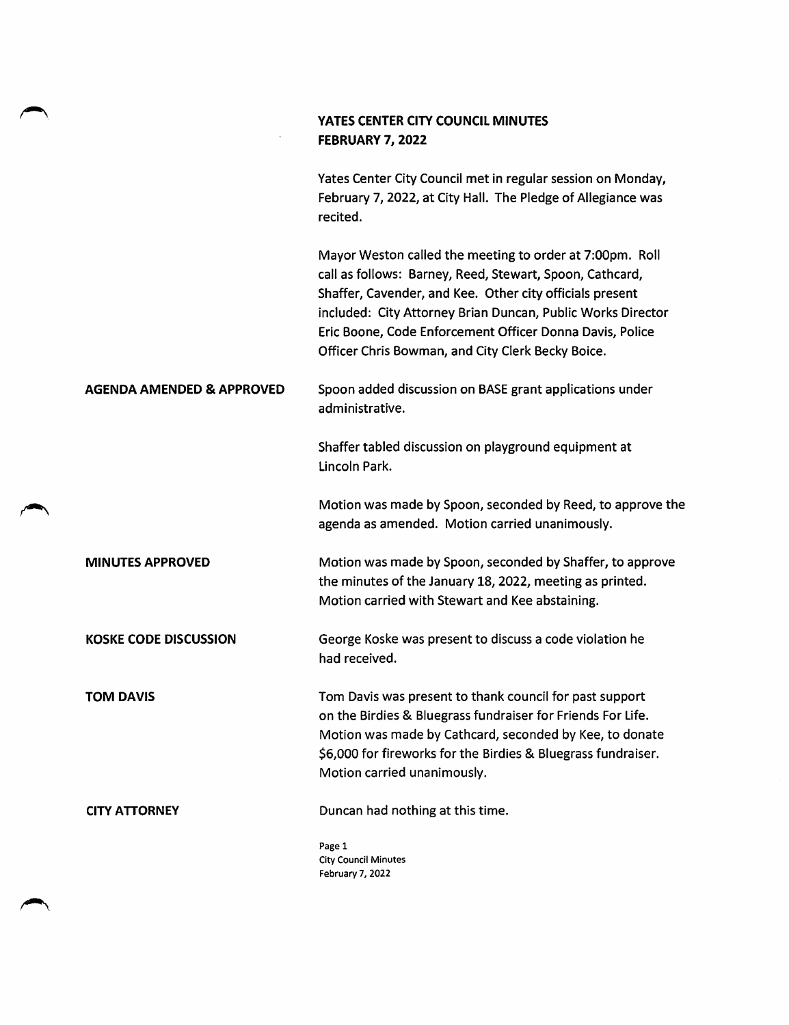|                                      | YATES CENTER CITY COUNCIL MINUTES<br>FEBRUARY 7, 2022                                                                                                                                                                                                                                                                                                            |
|--------------------------------------|------------------------------------------------------------------------------------------------------------------------------------------------------------------------------------------------------------------------------------------------------------------------------------------------------------------------------------------------------------------|
|                                      | Yates Center City Council met in regular session on Monday,<br>February 7, 2022, at City Hall. The Pledge of Allegiance was<br>recited.                                                                                                                                                                                                                          |
|                                      | Mayor Weston called the meeting to order at 7:00pm. Roll<br>call as follows: Barney, Reed, Stewart, Spoon, Cathcard,<br>Shaffer, Cavender, and Kee. Other city officials present<br>included: City Attorney Brian Duncan, Public Works Director<br>Eric Boone, Code Enforcement Officer Donna Davis, Police<br>Officer Chris Bowman, and City Clerk Becky Boice. |
| <b>AGENDA AMENDED &amp; APPROVED</b> | Spoon added discussion on BASE grant applications under<br>administrative.                                                                                                                                                                                                                                                                                       |
|                                      | Shaffer tabled discussion on playground equipment at<br>Lincoln Park.                                                                                                                                                                                                                                                                                            |
|                                      | Motion was made by Spoon, seconded by Reed, to approve the<br>agenda as amended. Motion carried unanimously.                                                                                                                                                                                                                                                     |
| <b>MINUTES APPROVED</b>              | Motion was made by Spoon, seconded by Shaffer, to approve<br>the minutes of the January 18, 2022, meeting as printed.<br>Motion carried with Stewart and Kee abstaining.                                                                                                                                                                                         |
| <b>KOSKE CODE DISCUSSION</b>         | George Koske was present to discuss a code violation he<br>had received.                                                                                                                                                                                                                                                                                         |
| <b>TOM DAVIS</b>                     | Tom Davis was present to thank council for past support<br>on the Birdies & Bluegrass fundraiser for Friends For Life.<br>Motion was made by Cathcard, seconded by Kee, to donate<br>\$6,000 for fireworks for the Birdies & Bluegrass fundraiser.<br>Motion carried unanimously.                                                                                |
| <b>CITY ATTORNEY</b>                 | Duncan had nothing at this time.                                                                                                                                                                                                                                                                                                                                 |
|                                      | Page 1<br><b>City Council Minutes</b><br>February 7, 2022                                                                                                                                                                                                                                                                                                        |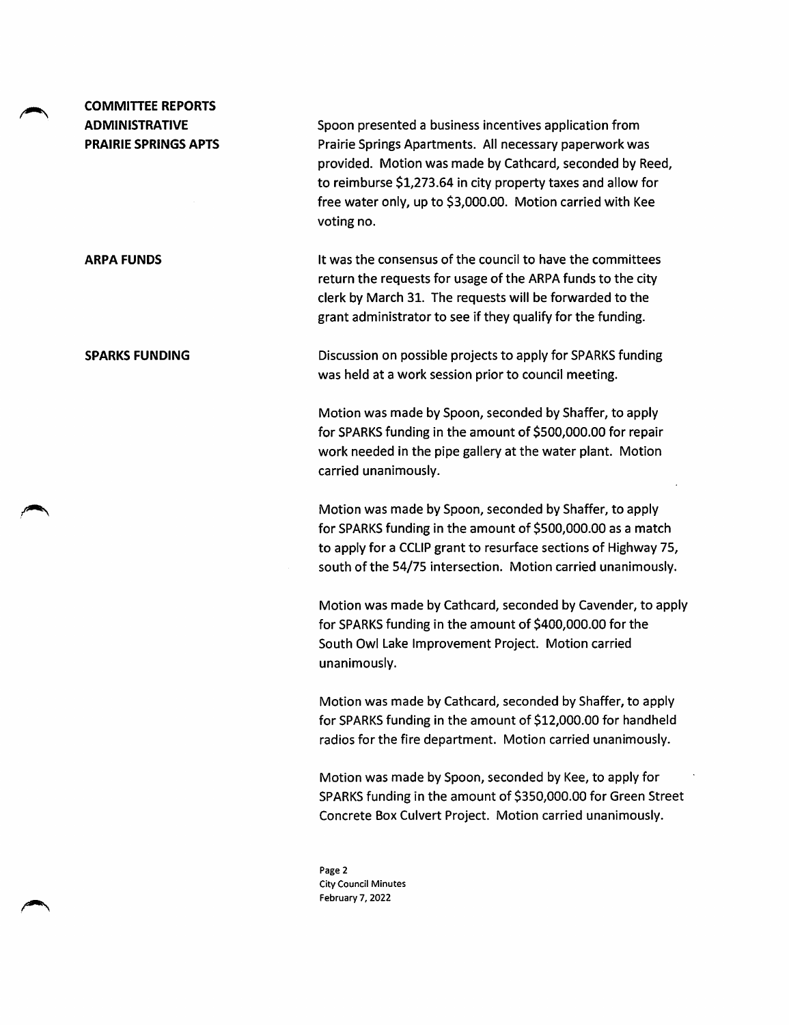## COMMITTEE REPORTS ADMINISTRATIVE PRAIRIE SPRINGS APTS

Spoon presented a business incentives application from Prairie Springs Apartments. All necessary paperwork was provided. Motion was made by Cathcard, seconded by Reed, to reimburse \$1,273.64 in city property taxes and allow for free water only, up to \$3,000.00. Motion carried with Kee voting no.

ARPA FUNDS **It was the consensus of the council to have the committees** return the requests for usage of the ARPA funds to the city clerk by March 31. The requests will be forwarded to the grant administrator to see if they qualify for the funding.

SPARKS FUNDING Discussion on possible projects to apply for SPARKS funding was held at a work session prior to council meeting.

> Motion was made by Spoon, seconded by Shaffer, to apply for SPARKS funding in the amount of \$500,000.00 for repair work needed in the pipe gallery at the water plant. Motion carried unanimously.

Motion was made by Spoon, seconded by Shaffer, to apply for SPARKS funding in the amount of \$500,000.00 as a match to apply for a CCLIP grant to resurface sections of Highway 75, south of the 54/75 intersection. Motion carried unanimously.

Motion was made by Cathcard, seconded by Cavender, to apply for SPARKS funding in the amount of \$400,000.00 for the South Owl Lake Improvement Project. Motion carried unanimously.

Motion was made by Cathcard, seconded by Shaffer, to apply for SPARKS funding in the amount of \$12,000.00 for handheld radios for the fire department. Motion carried unanimously.

Motion was made by Spoon, seconded by Kee, to apply for SPARKS funding in the amount of \$350,000.00 for Green Street Concrete Box Culvert Project. Motion carried unanimously.

Page 2 City Council Minutes February 7, 2022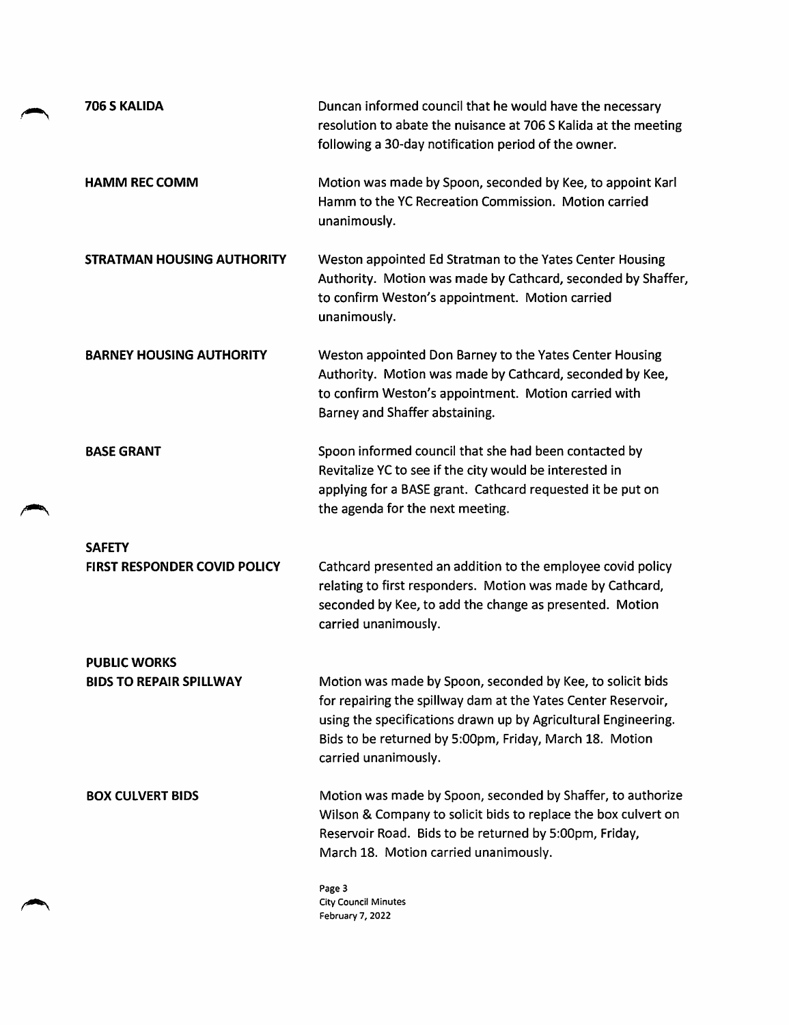| 706 S KALIDA                        | Duncan informed council that he would have the necessary<br>resolution to abate the nuisance at 706 S Kalida at the meeting<br>following a 30-day notification period of the owner.                                                                                              |
|-------------------------------------|----------------------------------------------------------------------------------------------------------------------------------------------------------------------------------------------------------------------------------------------------------------------------------|
| <b>HAMM REC COMM</b>                | Motion was made by Spoon, seconded by Kee, to appoint Karl<br>Hamm to the YC Recreation Commission. Motion carried<br>unanimously.                                                                                                                                               |
| <b>STRATMAN HOUSING AUTHORITY</b>   | Weston appointed Ed Stratman to the Yates Center Housing<br>Authority. Motion was made by Cathcard, seconded by Shaffer,<br>to confirm Weston's appointment. Motion carried<br>unanimously.                                                                                      |
| <b>BARNEY HOUSING AUTHORITY</b>     | Weston appointed Don Barney to the Yates Center Housing<br>Authority. Motion was made by Cathcard, seconded by Kee,<br>to confirm Weston's appointment. Motion carried with<br>Barney and Shaffer abstaining.                                                                    |
| <b>BASE GRANT</b>                   | Spoon informed council that she had been contacted by<br>Revitalize YC to see if the city would be interested in<br>applying for a BASE grant. Cathcard requested it be put on<br>the agenda for the next meeting.                                                               |
| <b>SAFETY</b>                       |                                                                                                                                                                                                                                                                                  |
| <b>FIRST RESPONDER COVID POLICY</b> | Cathcard presented an addition to the employee covid policy<br>relating to first responders. Motion was made by Cathcard,<br>seconded by Kee, to add the change as presented. Motion<br>carried unanimously.                                                                     |
| <b>PUBLIC WORKS</b>                 |                                                                                                                                                                                                                                                                                  |
| <b>BIDS TO REPAIR SPILLWAY</b>      | Motion was made by Spoon, seconded by Kee, to solicit bids<br>for repairing the spillway dam at the Yates Center Reservoir,<br>using the specifications drawn up by Agricultural Engineering.<br>Bids to be returned by 5:00pm, Friday, March 18. Motion<br>carried unanimously. |
| <b>BOX CULVERT BIDS</b>             | Motion was made by Spoon, seconded by Shaffer, to authorize<br>Wilson & Company to solicit bids to replace the box culvert on<br>Reservoir Road. Bids to be returned by 5:00pm, Friday,<br>March 18. Motion carried unanimously.                                                 |
|                                     | Page 3<br><b>City Council Minutes</b><br>February 7, 2022                                                                                                                                                                                                                        |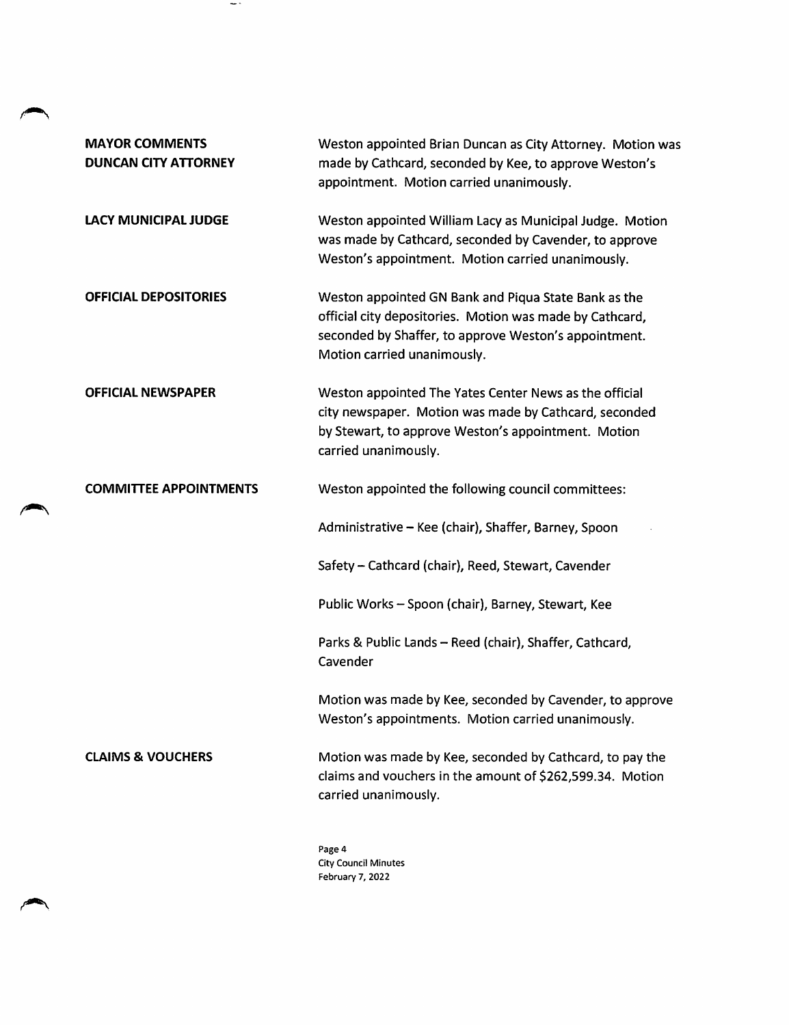| <b>MAYOR COMMENTS</b><br><b>DUNCAN CITY ATTORNEY</b> | Weston appointed Brian Duncan as City Attorney. Motion was<br>made by Cathcard, seconded by Kee, to approve Weston's<br>appointment. Motion carried unanimously.                                         |
|------------------------------------------------------|----------------------------------------------------------------------------------------------------------------------------------------------------------------------------------------------------------|
| LACY MUNICIPAL JUDGE                                 | Weston appointed William Lacy as Municipal Judge. Motion<br>was made by Cathcard, seconded by Cavender, to approve<br>Weston's appointment. Motion carried unanimously.                                  |
| <b>OFFICIAL DEPOSITORIES</b>                         | Weston appointed GN Bank and Piqua State Bank as the<br>official city depositories. Motion was made by Cathcard,<br>seconded by Shaffer, to approve Weston's appointment.<br>Motion carried unanimously. |
| <b>OFFICIAL NEWSPAPER</b>                            | Weston appointed The Yates Center News as the official<br>city newspaper. Motion was made by Cathcard, seconded<br>by Stewart, to approve Weston's appointment. Motion<br>carried unanimously.           |
| <b>COMMITTEE APPOINTMENTS</b>                        | Weston appointed the following council committees:                                                                                                                                                       |
|                                                      | Administrative - Kee (chair), Shaffer, Barney, Spoon                                                                                                                                                     |
|                                                      | Safety - Cathcard (chair), Reed, Stewart, Cavender                                                                                                                                                       |
|                                                      | Public Works - Spoon (chair), Barney, Stewart, Kee                                                                                                                                                       |
|                                                      | Parks & Public Lands - Reed (chair), Shaffer, Cathcard,<br>Cavender                                                                                                                                      |
|                                                      | Motion was made by Kee, seconded by Cavender, to approve<br>Weston's appointments. Motion carried unanimously.                                                                                           |
| <b>CLAIMS &amp; VOUCHERS</b>                         | Motion was made by Kee, seconded by Cathcard, to pay the<br>claims and vouchers in the amount of \$262,599.34. Motion<br>carried unanimously.                                                            |
|                                                      | Page 4<br><b>City Council Minutes</b>                                                                                                                                                                    |

 $\sim$  -

City Council Minutes February 7, 2022